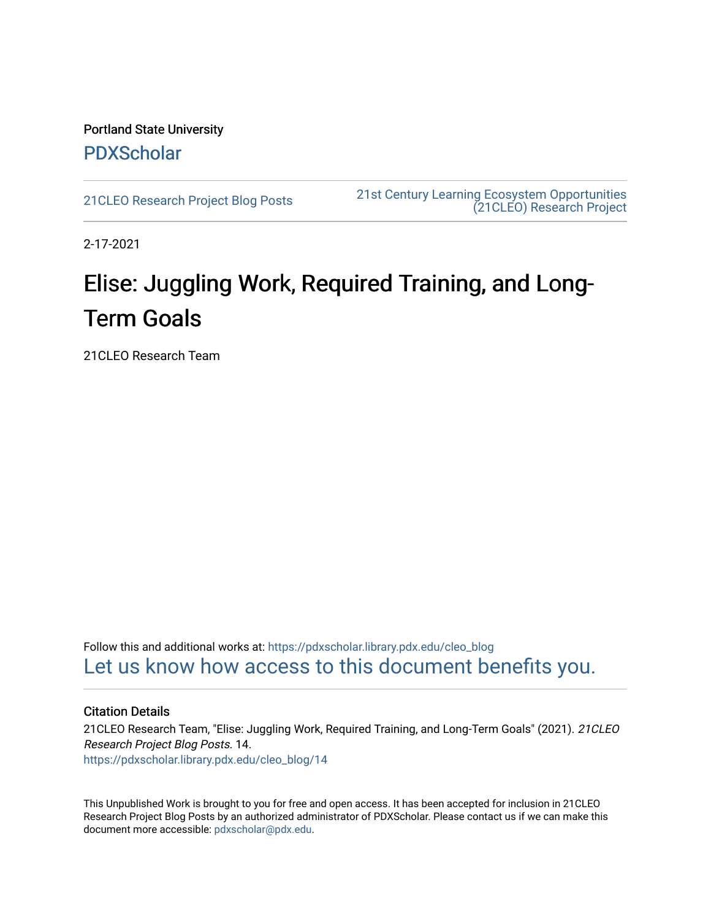Portland State University [PDXScholar](https://pdxscholar.library.pdx.edu/)

[21CLEO Research Project Blog Posts](https://pdxscholar.library.pdx.edu/cleo_blog) [21st Century Learning Ecosystem Opportunities](https://pdxscholar.library.pdx.edu/cleo)  [\(21CLEO\) Research Project](https://pdxscholar.library.pdx.edu/cleo) 

2-17-2021

# Elise: Juggling Work, Required Training, and Long-Term Goals

21CLEO Research Team

Follow this and additional works at: [https://pdxscholar.library.pdx.edu/cleo\\_blog](https://pdxscholar.library.pdx.edu/cleo_blog?utm_source=pdxscholar.library.pdx.edu%2Fcleo_blog%2F14&utm_medium=PDF&utm_campaign=PDFCoverPages)  [Let us know how access to this document benefits you.](http://library.pdx.edu/services/pdxscholar-services/pdxscholar-feedback/?ref=https://pdxscholar.library.pdx.edu/cleo_blog/14) 

#### Citation Details

21CLEO Research Team, "Elise: Juggling Work, Required Training, and Long-Term Goals" (2021). 21CLEO Research Project Blog Posts. 14. [https://pdxscholar.library.pdx.edu/cleo\\_blog/14](https://pdxscholar.library.pdx.edu/cleo_blog/14?utm_source=pdxscholar.library.pdx.edu%2Fcleo_blog%2F14&utm_medium=PDF&utm_campaign=PDFCoverPages)

This Unpublished Work is brought to you for free and open access. It has been accepted for inclusion in 21CLEO Research Project Blog Posts by an authorized administrator of PDXScholar. Please contact us if we can make this document more accessible: [pdxscholar@pdx.edu.](mailto:pdxscholar@pdx.edu)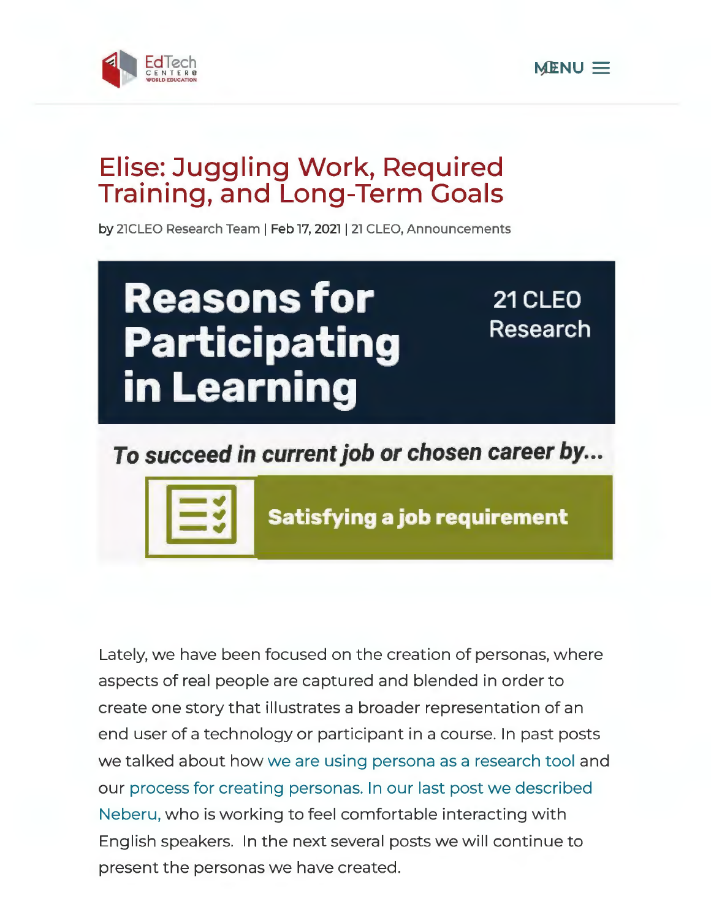



# **Elise: Juggling Work, Required Training, and Long-Term Goals**

by 21CLEO Research Team | Feb 17, 2021 | 21 CLEO, Announcements



# **To succeed in current job or chosen career by ...**



**Satisfying a job requirement** 

Lately, we have been focused on the creation of personas, where aspects of real people are captured and blended in order to create one story that illustrates a broader representation of an end user of a technology or participant in a course. In past posts we talked about how we are using persona as a research tool and our process for creating personas. In our last post we described Neberu, who is working to feel comfortable interacting with English speakers. In the next several posts we will continue to present the personas we have created.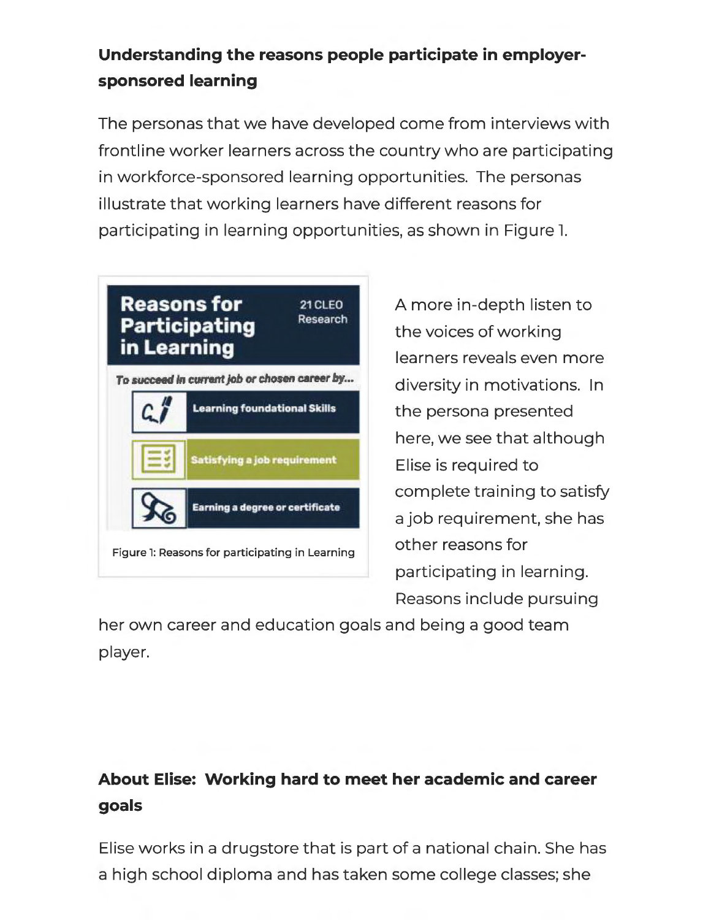### **Understanding the reasons people participate in employersponsored learning**

The personas that we have developed come from interviews with frontline worker learners across the country who are participating in workforce-sponsored learning opportunities. The personas illustrate that working learners have different reasons for participating in learning opportunities, as shown in Figure l.



A more in-depth listen to the voices of working learners reveals even more diversity in motivations. In the persona presented here, we see that although Elise is required to complete training to satisfy a job requirement, she has other reasons for participating in learning. Reasons include pursuing

her own career and education goals and being a good team player.

### **About Elise: Working hard to meet her academic and career goals**

Elise works in a drugstore that is part of a national chain. She has a high school diploma and has taken some college classes; she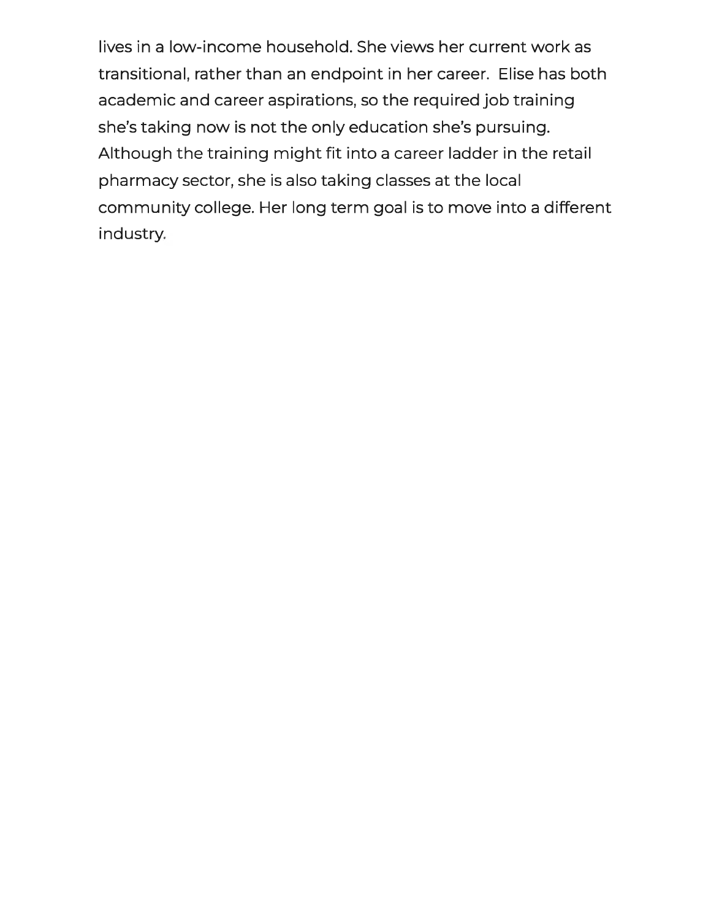lives in a low-income household. She views her current work as transitional, rather than an endpoint in her career. Elise has both academic and career aspirations, so the required job training she's taking now is not the only education she's pursuing. Although the training might fit into a career ladder in the retail pharmacy sector, she is also taking classes at the local community college. Her long term goal is to move into a different industry.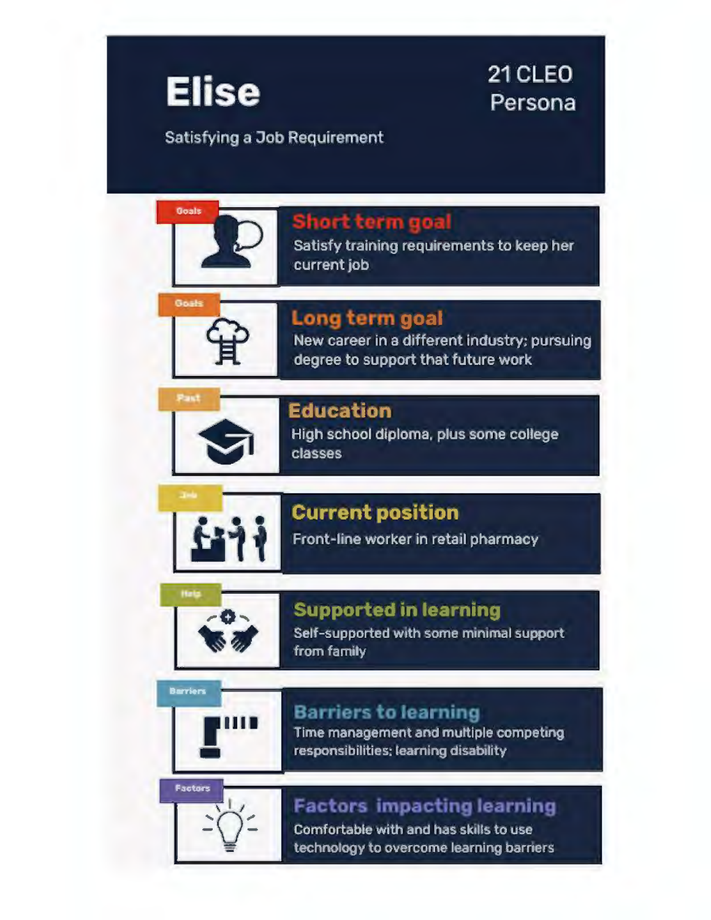

# 21 CLEO Persona

Satisfying a Job Requirement



## Short term goal

Satisfy training requirements to keep her current job



#### Long term goal

New career in a different industry; pursuing degree to support that future work



## **Education**

High school diploma, plus some college **classes** 



## **Current position**

Front-line worker in retail pharmacy

## **Supported in learning**

Self-supported with some minimal support from family

# **Barriers to learning**



**Barriers** 

Time management and multiple competing responsibilities; learning disability



## **Factors impacting learning**

Comfortable with and has skills to use technology to overcome learning barriers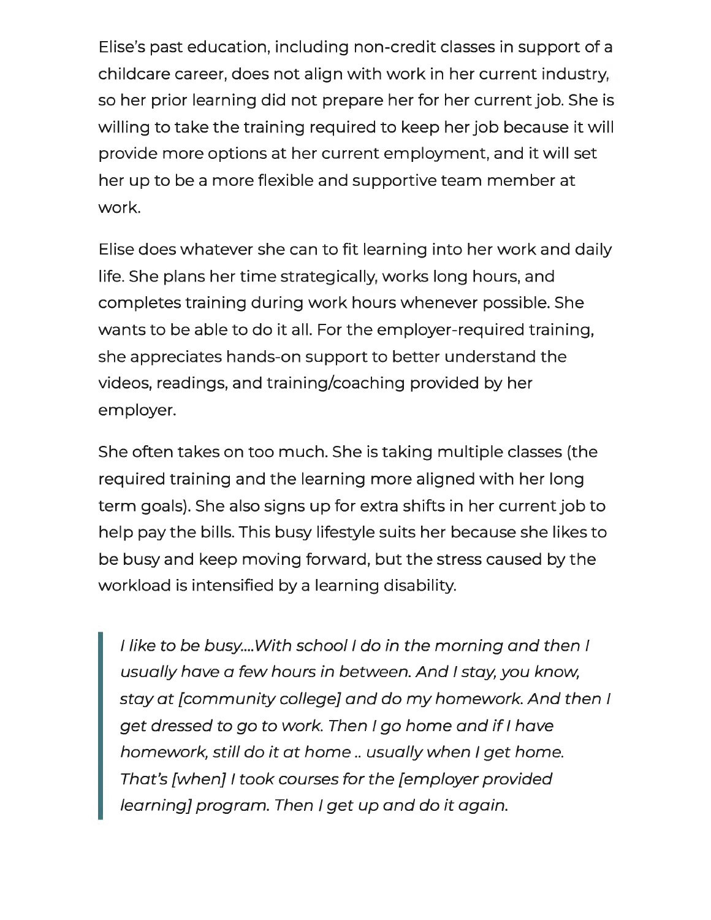Elise's past education, including non-credit classes in support of a childcare career, does not align with work in her current industry, so her prior learning did not prepare her for her current job. She is willing to take the training required to keep her job because it will provide more options at her current employment, and it will set her up to be a more flexible and supportive team member at work.

Elise does whatever she can to fit learning into her work and daily life. She plans her time strategically, works long hours, and completes training during work hours whenever possible. She wants to be able to do it all. For the employer-required training, she appreciates hands-on support to better understand the videos, readings, and training/coaching provided by her employer.

She often takes on too much. She is taking multiple classes (the required training and the learning more aligned with her long term goals). She also signs up for extra shifts in her current job to help pay the bills. This busy lifestyle suits her because she likes to be busy and keep moving forward, but the stress caused by the workload is intensified by a learning disability.

I like to be busy.... With school I do in the morning and then I usually have a few hours in between. And I stay, you know, stay at [community college] and do my homework. And then I get dressed to go to work. Then I go home and if I have homework, still do it at home .. usually when I get home. That's [when] I took courses for the [employer provided learning] program. Then I get up and do it again.